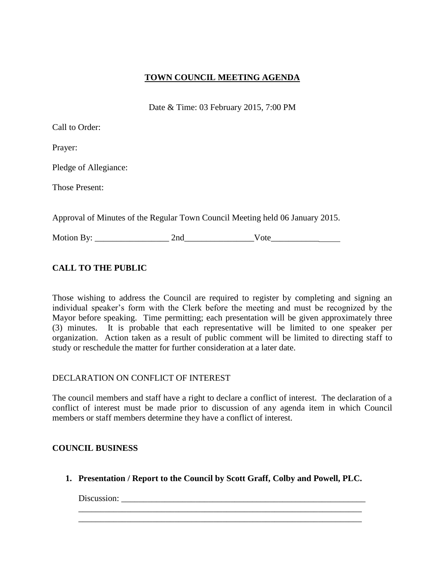## **TOWN COUNCIL MEETING AGENDA**

Date & Time: 03 February 2015, 7:00 PM

| Call to Order: |  |
|----------------|--|
|----------------|--|

Prayer:

Pledge of Allegiance:

Those Present:

Approval of Minutes of the Regular Town Council Meeting held 06 January 2015.

Motion By: \_\_\_\_\_\_\_\_\_\_\_\_\_\_\_\_\_ 2nd\_\_\_\_\_\_\_\_\_\_\_\_\_\_\_\_Vote\_\_\_\_\_\_\_\_\_\_\_

# **CALL TO THE PUBLIC**

Those wishing to address the Council are required to register by completing and signing an individual speaker's form with the Clerk before the meeting and must be recognized by the Mayor before speaking. Time permitting; each presentation will be given approximately three (3) minutes. It is probable that each representative will be limited to one speaker per organization. Action taken as a result of public comment will be limited to directing staff to study or reschedule the matter for further consideration at a later date.

### DECLARATION ON CONFLICT OF INTEREST

The council members and staff have a right to declare a conflict of interest. The declaration of a conflict of interest must be made prior to discussion of any agenda item in which Council members or staff members determine they have a conflict of interest.

## **COUNCIL BUSINESS**

**1. Presentation / Report to the Council by Scott Graff, Colby and Powell, PLC.**

\_\_\_\_\_\_\_\_\_\_\_\_\_\_\_\_\_\_\_\_\_\_\_\_\_\_\_\_\_\_\_\_\_\_\_\_\_\_\_\_\_\_\_\_\_\_\_\_\_\_\_\_\_\_\_\_\_\_\_\_\_\_\_\_\_ \_\_\_\_\_\_\_\_\_\_\_\_\_\_\_\_\_\_\_\_\_\_\_\_\_\_\_\_\_\_\_\_\_\_\_\_\_\_\_\_\_\_\_\_\_\_\_\_\_\_\_\_\_\_\_\_\_\_\_\_\_\_\_\_\_

Discussion: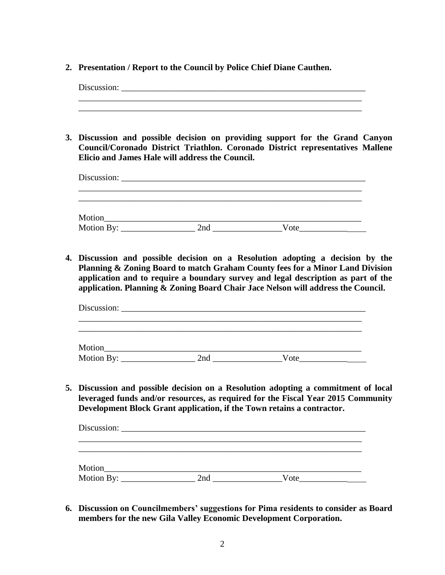**2. Presentation / Report to the Council by Police Chief Diane Cauthen.**

Discussion: \_\_\_\_\_\_\_\_\_\_\_\_\_\_\_\_\_\_\_\_\_\_\_\_\_\_\_\_\_\_\_\_\_\_\_\_\_\_\_\_\_\_\_\_\_\_\_\_\_\_\_\_\_\_\_\_ \_\_\_\_\_\_\_\_\_\_\_\_\_\_\_\_\_\_\_\_\_\_\_\_\_\_\_\_\_\_\_\_\_\_\_\_\_\_\_\_\_\_\_\_\_\_\_\_\_\_\_\_\_\_\_\_\_\_\_\_\_\_\_\_\_ \_\_\_\_\_\_\_\_\_\_\_\_\_\_\_\_\_\_\_\_\_\_\_\_\_\_\_\_\_\_\_\_\_\_\_\_\_\_\_\_\_\_\_\_\_\_\_\_\_\_\_\_\_\_\_\_\_\_\_\_\_\_\_\_\_ **3. Discussion and possible decision on providing support for the Grand Canyon Council/Coronado District Triathlon. Coronado District representatives Mallene Elicio and James Hale will address the Council.** Discussion: \_\_\_\_\_\_\_\_\_\_\_\_\_\_\_\_\_\_\_\_\_\_\_\_\_\_\_\_\_\_\_\_\_\_\_\_\_\_\_\_\_\_\_\_\_\_\_\_\_\_\_\_\_\_\_\_\_\_\_\_\_\_\_\_\_ \_\_\_\_\_\_\_\_\_\_\_\_\_\_\_\_\_\_\_\_\_\_\_\_\_\_\_\_\_\_\_\_\_\_\_\_\_\_\_\_\_\_\_\_\_\_\_\_\_\_\_\_\_\_\_\_\_\_\_\_\_\_\_\_\_ Motion\_\_\_\_\_\_\_\_\_\_\_\_\_\_\_\_\_\_\_\_\_\_\_\_\_\_\_\_\_\_\_\_\_\_\_\_\_\_\_\_\_\_\_\_\_\_\_\_\_\_\_\_\_\_\_\_\_\_\_ Motion By: \_\_\_\_\_\_\_\_\_\_\_\_\_\_\_\_\_ 2nd \_\_\_\_\_\_\_\_\_\_\_\_\_\_\_\_Vote\_\_\_\_\_\_\_\_\_\_\_ **4. Discussion and possible decision on a Resolution adopting a decision by the Planning & Zoning Board to match Graham County fees for a Minor Land Division application and to require a boundary survey and legal description as part of the application. Planning & Zoning Board Chair Jace Nelson will address the Council.**  Discussion: \_\_\_\_\_\_\_\_\_\_\_\_\_\_\_\_\_\_\_\_\_\_\_\_\_\_\_\_\_\_\_\_\_\_\_\_\_\_\_\_\_\_\_\_\_\_\_\_\_\_\_\_\_\_\_\_ \_\_\_\_\_\_\_\_\_\_\_\_\_\_\_\_\_\_\_\_\_\_\_\_\_\_\_\_\_\_\_\_\_\_\_\_\_\_\_\_\_\_\_\_\_\_\_\_\_\_\_\_\_\_\_\_\_\_\_\_\_\_\_\_\_ \_\_\_\_\_\_\_\_\_\_\_\_\_\_\_\_\_\_\_\_\_\_\_\_\_\_\_\_\_\_\_\_\_\_\_\_\_\_\_\_\_\_\_\_\_\_\_\_\_\_\_\_\_\_\_\_\_\_\_\_\_\_\_\_\_ Motion\_\_\_\_\_\_\_\_\_\_\_\_\_\_\_\_\_\_\_\_\_\_\_\_\_\_\_\_\_\_\_\_\_\_\_\_\_\_\_\_\_\_\_\_\_\_\_\_\_\_\_\_\_\_\_\_\_\_\_ Motion By: \_\_\_\_\_\_\_\_\_\_\_\_\_\_\_\_\_ 2nd \_\_\_\_\_\_\_\_\_\_\_\_\_\_\_\_Vote\_\_\_\_\_\_\_\_\_\_\_ **5. Discussion and possible decision on a Resolution adopting a commitment of local leveraged funds and/or resources, as required for the Fiscal Year 2015 Community Development Block Grant application, if the Town retains a contractor.**  Discussion: \_\_\_\_\_\_\_\_\_\_\_\_\_\_\_\_\_\_\_\_\_\_\_\_\_\_\_\_\_\_\_\_\_\_\_\_\_\_\_\_\_\_\_\_\_\_\_\_\_\_\_\_\_\_\_\_\_\_\_\_\_\_\_\_\_ Motion\_\_\_\_\_\_\_\_\_\_\_\_\_\_\_\_\_\_\_\_\_\_\_\_\_\_\_\_\_\_\_\_\_\_\_\_\_\_\_\_\_\_\_\_\_\_\_\_\_\_\_\_\_\_\_\_\_\_\_ Motion By: \_\_\_\_\_\_\_\_\_\_\_\_\_\_\_\_\_ 2nd \_\_\_\_\_\_\_\_\_\_\_\_\_\_\_\_Vote\_\_\_\_\_\_\_\_\_\_\_

**6. Discussion on Councilmembers' suggestions for Pima residents to consider as Board members for the new Gila Valley Economic Development Corporation.**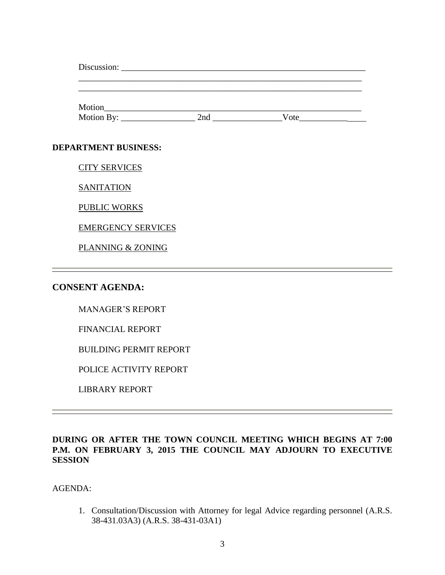| Motion By: $\_\_\_\_\_\_\_\_\_\_\_\_\_\_\_\_\_\_\_$ | 2nd and the contract of the contract of the contract of the contract of the contract of the contract of the contract of the contract of the contract of the contract of the contract of the contract of the contract of the co | Vote |  |
|-----------------------------------------------------|--------------------------------------------------------------------------------------------------------------------------------------------------------------------------------------------------------------------------------|------|--|
| <b>DEPARTMENT BUSINESS:</b>                         |                                                                                                                                                                                                                                |      |  |
| <b>CITY SERVICES</b>                                |                                                                                                                                                                                                                                |      |  |
| <b>SANITATION</b>                                   |                                                                                                                                                                                                                                |      |  |
| <b>PUBLIC WORKS</b>                                 |                                                                                                                                                                                                                                |      |  |

EMERGENCY SERVICES

PLANNING & ZONING

## **CONSENT AGENDA:**

MANAGER'S REPORT

FINANCIAL REPORT

BUILDING PERMIT REPORT

POLICE ACTIVITY REPORT

LIBRARY REPORT

#### **DURING OR AFTER THE TOWN COUNCIL MEETING WHICH BEGINS AT 7:00 P.M. ON FEBRUARY 3, 2015 THE COUNCIL MAY ADJOURN TO EXECUTIVE SESSION**

AGENDA:

1. Consultation/Discussion with Attorney for legal Advice regarding personnel (A.R.S. 38-431.03A3) (A.R.S. 38-431-03A1)